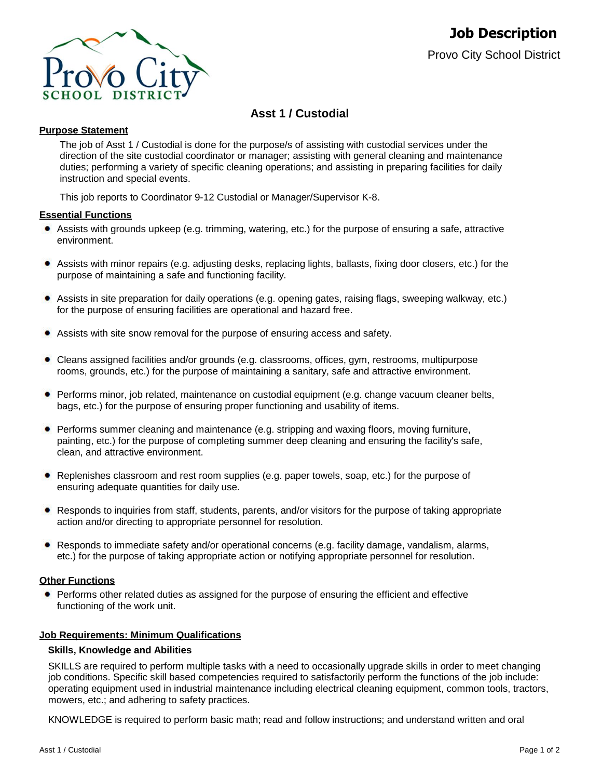

# **Asst 1 / Custodial**

### **Purpose Statement**

The job of Asst 1 / Custodial is done for the purpose/s of assisting with custodial services under the direction of the site custodial coordinator or manager; assisting with general cleaning and maintenance duties; performing a variety of specific cleaning operations; and assisting in preparing facilities for daily instruction and special events.

This job reports to Coordinator 9-12 Custodial or Manager/Supervisor K-8.

#### **Essential Functions**

- Assists with grounds upkeep (e.g. trimming, watering, etc.) for the purpose of ensuring a safe, attractive environment.
- Assists with minor repairs (e.g. adjusting desks, replacing lights, ballasts, fixing door closers, etc.) for the purpose of maintaining a safe and functioning facility.
- $\bullet$ Assists in site preparation for daily operations (e.g. opening gates, raising flags, sweeping walkway, etc.) for the purpose of ensuring facilities are operational and hazard free.
- Assists with site snow removal for the purpose of ensuring access and safety. ۰
- ٠ Cleans assigned facilities and/or grounds (e.g. classrooms, offices, gym, restrooms, multipurpose rooms, grounds, etc.) for the purpose of maintaining a sanitary, safe and attractive environment.
- Performs minor, job related, maintenance on custodial equipment (e.g. change vacuum cleaner belts, bags, etc.) for the purpose of ensuring proper functioning and usability of items.
- **Performs summer cleaning and maintenance (e.g. stripping and waxing floors, moving furniture,** painting, etc.) for the purpose of completing summer deep cleaning and ensuring the facility's safe, clean, and attractive environment.
- Replenishes classroom and rest room supplies (e.g. paper towels, soap, etc.) for the purpose of ensuring adequate quantities for daily use.
- Responds to inquiries from staff, students, parents, and/or visitors for the purpose of taking appropriate action and/or directing to appropriate personnel for resolution.
- Responds to immediate safety and/or operational concerns (e.g. facility damage, vandalism, alarms, etc.) for the purpose of taking appropriate action or notifying appropriate personnel for resolution.

## **Other Functions**

Performs other related duties as assigned for the purpose of ensuring the efficient and effective functioning of the work unit.

#### **Job Requirements: Minimum Qualifications**

#### **Skills, Knowledge and Abilities**

SKILLS are required to perform multiple tasks with a need to occasionally upgrade skills in order to meet changing job conditions. Specific skill based competencies required to satisfactorily perform the functions of the job include: operating equipment used in industrial maintenance including electrical cleaning equipment, common tools, tractors, mowers, etc.; and adhering to safety practices.

KNOWLEDGE is required to perform basic math; read and follow instructions; and understand written and oral